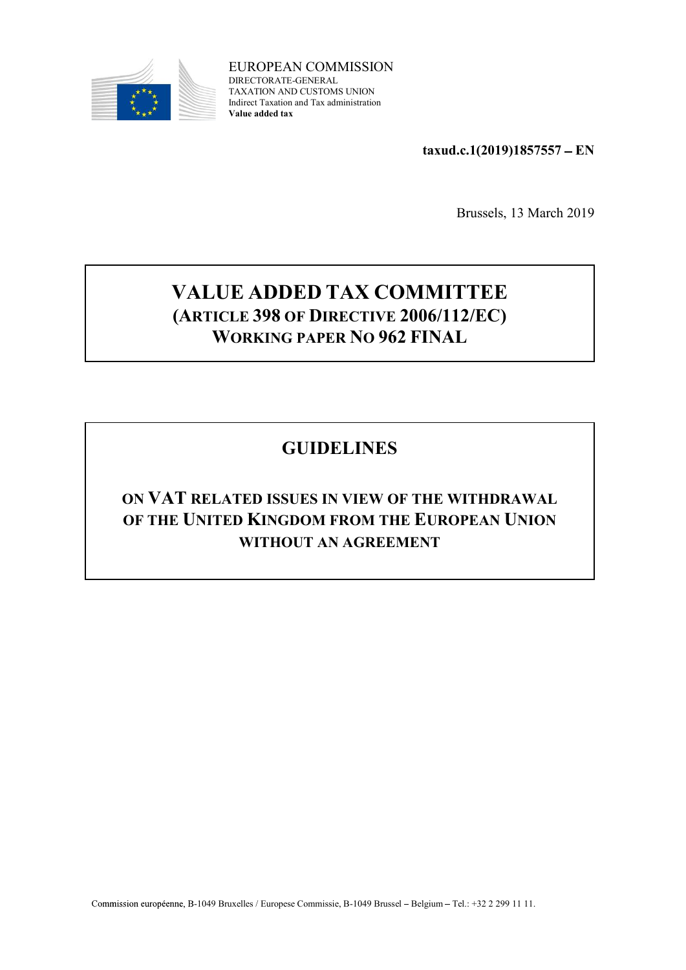

EUROPEAN COMMISSION DIRECTORATE-GENERAL TAXATION AND CUSTOMS UNION Indirect Taxation and Tax administration Value added tax

 $taxud.c.1(2019)1857557 - EN$ 

Brussels, 13 March 2019

### VALUE ADDED TAX COMMITTEE (ARTICLE 398 OF DIRECTIVE 2006/112/EC) WORKING PAPER NO 962 FINAL

### GUIDELINES

### ON VAT RELATED ISSUES IN VIEW OF THE WITHDRAWAL OF THE UNITED KINGDOM FROM THE EUROPEAN UNION WITHOUT AN AGREEMENT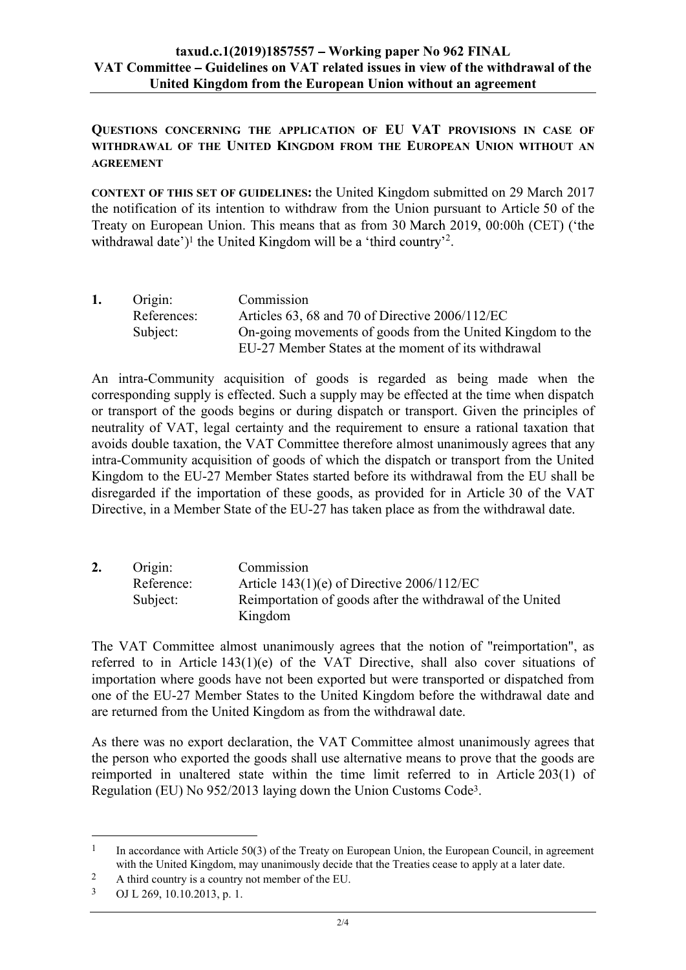# taxud.c.1(2019)1857557 – Working paper No 962 FINAL<br>tee – Guidelines on VAT related issues in view of the withdrawal of the<br>ed Kingdom from the European Union without an agreement VAT Committee – Guidelines on VAT related issues in view of the withdrawal of the United Kingdom from the European Union without an agreement

QUESTIONS CONCERNING THE APPLICATION OF EU VAT PROVISIONS IN CASE OF WITHDRAWAL OF THE UNITED KINGDOM FROM THE EUROPEAN UNION WITHOUT AN AGREEMENT

CONTEXT OF THIS SET OF GUIDELINES: the United Kingdom submitted on 29 March 2017 the notification of its intention to withdraw from the Union pursuant to Article 50 of the Treaty on European Union. This means that as from 30 March 2019, 00:00h (CET) ('the <sup>1</sup> the United Kingdom will be a 'third country'<sup>2</sup>.

| 1. | Origin:     | Commission                                                 |
|----|-------------|------------------------------------------------------------|
|    | References: | Articles 63, 68 and 70 of Directive 2006/112/EC            |
|    | Subject:    | On-going movements of goods from the United Kingdom to the |
|    |             | EU-27 Member States at the moment of its withdrawal        |

An intra-Community acquisition of goods is regarded as being made when the corresponding supply is effected. Such a supply may be effected at the time when dispatch or transport of the goods begins or during dispatch or transport. Given the principles of neutrality of VAT, legal certainty and the requirement to ensure a rational taxation that avoids double taxation, the VAT Committee therefore almost unanimously agrees that any intra-Community acquisition of goods of which the dispatch or transport from the United Kingdom to the EU-27 Member States started before its withdrawal from the EU shall be disregarded if the importation of these goods, as provided for in Article 30 of the VAT Directive, in a Member State of the EU-27 has taken place as from the withdrawal date.

| 2. | Origin:    | Commission                                                |  |
|----|------------|-----------------------------------------------------------|--|
|    | Reference: | Article $143(1)(e)$ of Directive $2006/112/EC$            |  |
|    | Subject:   | Reimportation of goods after the withdrawal of the United |  |
|    |            | Kingdom                                                   |  |

The VAT Committee almost unanimously agrees that the notion of "reimportation", as referred to in Article 143(1)(e) of the VAT Directive, shall also cover situations of importation where goods have not been exported but were transported or dispatched from one of the EU-27 Member States to the United Kingdom before the withdrawal date and are returned from the United Kingdom as from the withdrawal date.

As there was no export declaration, the VAT Committee almost unanimously agrees that the person who exported the goods shall use alternative means to prove that the goods are reimported in unaltered state within the time limit referred to in Article 203(1) of Regulation (EU) No 952/2013 laying down the Union Customs Code3.

<sup>&</sup>lt;sup>1</sup> In accordance with Article 50(3) of the Treaty on European Union, the European Council, in agreement with the United Kingdom, may unanimously decide that the Treaties cease to apply at a later date.

<sup>&</sup>lt;sup>2</sup> A third country is a country not member of the EU.

<sup>3</sup> OJ L 269, 10.10.2013, p. 1.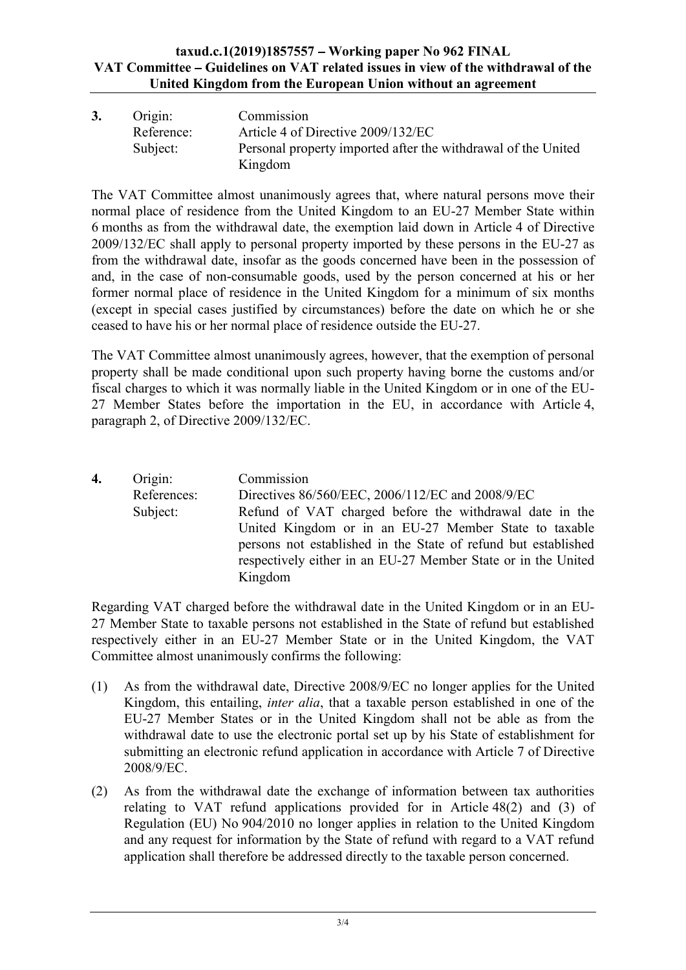# taxud.c.1(2019)1857557 – Working paper No 962 FINAL<br>tee – Guidelines on VAT related issues in view of the withdrawal of the<br>ed Kingdom from the European Union without an agreement<br>Commission VAT Committee – Guidelines on VAT related issues in view of the withdrawal of the United Kingdom from the European Union without an agreement

| 3. | Origin:    | Commission                                                    |
|----|------------|---------------------------------------------------------------|
|    | Reference: | Article 4 of Directive 2009/132/EC                            |
|    | Subject:   | Personal property imported after the withdrawal of the United |
|    |            | Kingdom                                                       |

The VAT Committee almost unanimously agrees that, where natural persons move their normal place of residence from the United Kingdom to an EU-27 Member State within 6 months as from the withdrawal date, the exemption laid down in Article 4 of Directive 2009/132/EC shall apply to personal property imported by these persons in the EU-27 as from the withdrawal date, insofar as the goods concerned have been in the possession of and, in the case of non-consumable goods, used by the person concerned at his or her former normal place of residence in the United Kingdom for a minimum of six months (except in special cases justified by circumstances) before the date on which he or she ceased to have his or her normal place of residence outside the EU-27.

The VAT Committee almost unanimously agrees, however, that the exemption of personal property shall be made conditional upon such property having borne the customs and/or fiscal charges to which it was normally liable in the United Kingdom or in one of the EU-27 Member States before the importation in the EU, in accordance with Article 4, paragraph 2, of Directive 2009/132/EC.

4. Origin: Commission References: Directives 86/560/EEC, 2006/112/EC and 2008/9/EC Subject: Refund of VAT charged before the withdrawal date in the United Kingdom or in an EU-27 Member State to taxable persons not established in the State of refund but established respectively either in an EU-27 Member State or in the United Kingdom

Regarding VAT charged before the withdrawal date in the United Kingdom or in an EU-27 Member State to taxable persons not established in the State of refund but established respectively either in an EU-27 Member State or in the United Kingdom, the VAT Committee almost unanimously confirms the following:

- (1) As from the withdrawal date, Directive 2008/9/EC no longer applies for the United Kingdom, this entailing, inter alia, that a taxable person established in one of the EU-27 Member States or in the United Kingdom shall not be able as from the withdrawal date to use the electronic portal set up by his State of establishment for submitting an electronic refund application in accordance with Article 7 of Directive 2008/9/EC.
- (2) As from the withdrawal date the exchange of information between tax authorities relating to VAT refund applications provided for in Article 48(2) and (3) of Regulation (EU) No 904/2010 no longer applies in relation to the United Kingdom and any request for information by the State of refund with regard to a VAT refund application shall therefore be addressed directly to the taxable person concerned.